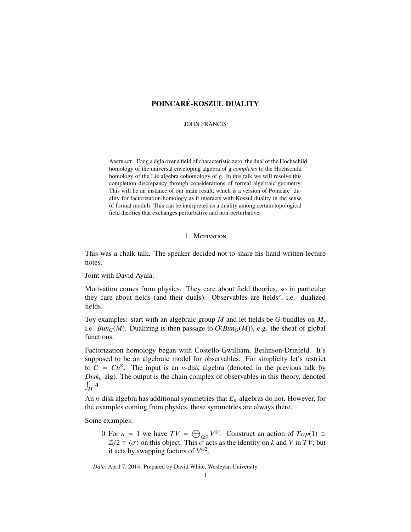# POINCARE-KOSZUL DUALITY ´

#### JOHN FRANCIS

Abstract. For g a dgla over a field of characteristic zero, the dual of the Hochschild homology of the universal enveloping algebra of g *completes* to the Hochschild homology of the Lie algebra cohomology of g. In this talk we will resolve this completion discrepancy through considerations of formal algebraic geometry. This will be an instance of our main result, which is a version of Poincare' duality for factorization homology as it interacts with Koszul duality in the sense of formal moduli. This can be interpreted as a duality among certain topological field theories that exchanges perturbative and non-perturbative.

### 1. MOTIVATION

This was a chalk talk. The speaker decided not to share his hand-written lecture notes.

Joint with David Ayala.

Motivation comes from physics. They care about field theories, so in particular they care about fields (and their duals). Observables are fields*<sup>v</sup>* , i.e. dualized fields.

Toy examples: start with an algebraic group *M* and let fields be *G*-bundles on *M*, i.e. *Bun<sub>G</sub>*(*M*). Dualizing is then passage to  $O(Bun<sub>G</sub>(M))$ , e.g. the sheaf of global functions.

Factorization homology began with Costello-Gwilliam, Beilinson-Drinfeld. It's supposed to be an algebraic model for observables. For simplicity let's restrict to  $C = Ch^{\otimes}$ . The input is an *n*-disk algebra (denoted in the previous talk by *Diskn*-alg). The output is the chain complex of observables in this theory, denoted  $\int_M A$ .

An *n*-disk algebra has additional symmetries that *En*-algebras do not. However, for the examples coming from physics, these symmetries are always there.

Some examples:

0 For  $n = 1$  we have  $TV = \bigoplus_{i \geq 0} V^{\otimes i}$ . Construct an action of  $Top(1) \cong$  $\mathbb{Z}/2 \cong \langle \sigma \rangle$  on this object. This  $\sigma$  acts as the identity on *k* and *V* in *TV*, but it acts by swapping factors of *V* ⊗2 .

*Date*: April 7, 2014. Prepared by David White, Wesleyan University.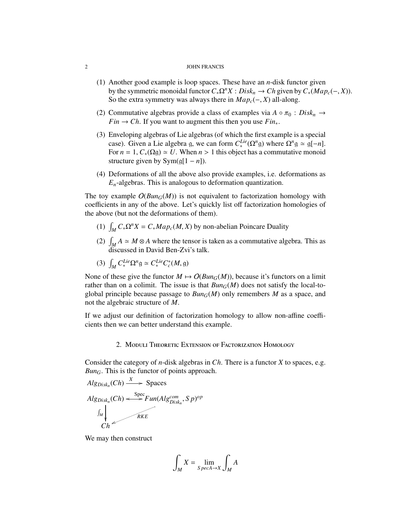#### 2 JOHN FRANCIS

- (1) Another good example is loop spaces. These have an *n*-disk functor given by the symmetric monoidal functor  $C_*\Omega^n X : Disk_n \to Ch$  given by  $C_*(Map_c(-, X))$ . So the extra symmetry was always there in  $Map_c(-, X)$  all-along.
- (2) Commutative algebras provide a class of examples via  $A \circ \pi_0 : Disk_n \to$ *Fin*  $\rightarrow$  *Ch*. If you want to augment this then you use *Fin*<sup>\*</sup>.
- (3) Enveloping algebras of Lie algebras (of which the first example is a special case). Given a Lie algebra g, we can form  $C^{Lie}_*(\Omega^n g)$  where  $\Omega^n g \simeq g[-n]$ . For  $n = 1$ ,  $C_*(\Omega \mathfrak{g}) \simeq U$ . When  $n > 1$  this object has a commutative monoid structure given by  $Sym(g[1 - n])$ .
- (4) Deformations of all the above also provide examples, i.e. deformations as *En*-algebras. This is analogous to deformation quantization.

The toy example  $O(Bun_G(M))$  is not equivalent to factorization homology with coefficients in any of the above. Let's quickly list off factorization homologies of the above (but not the deformations of them).

- (1)  $\int_M C_* \Omega^n X = C_* Map_c(M, X)$  by non-abelian Poincare Duality
- (2)  $\int_M A \simeq M \otimes A$  where the tensor is taken as a commutative algebra. This as discussed in David Ben-Zvi's talk.
- (3)  $\int_M C^{Lie}_* \Omega^n g \simeq C^{Lie}_* C_c^*(M, g)$

None of these give the functor  $M \mapsto O(Bun_G(M))$ , because it's functors on a limit rather than on a colimit. The issue is that  $Bun_G(M)$  does not satisfy the local-toglobal principle because passage to *BunG*(*M*) only remembers *M* as a space, and not the algebraic structure of *M*.

If we adjust our definition of factorization homology to allow non-affine coefficients then we can better understand this example.

### 2. Moduli Theoretic Extension of Factorization Homology

Consider the category of *n*-disk algebras in *Ch*. There is a functor *X* to spaces, e.g. *Bun<sub>G</sub>*. This is the functor of points approach.

$$
Alg_{Disk_n}(Ch) \xrightarrow{X} \text{Spaces}
$$
\n
$$
Alg_{Disk_n}(Ch) \xrightarrow{Spec} Fun(Alg_{Disk_n}^{com}, Sp)^{op}
$$
\n
$$
\int_M \downarrow_{RKE}
$$
\n
$$
Ch \xrightarrow{KKE} \qquad
$$

We may then construct

$$
\int_M X = \lim_{Spec A \to X} \int_M A
$$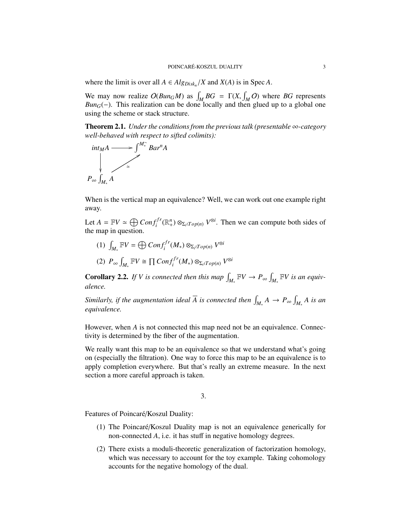where the limit is over all  $A \in Alg_{Disk_n}/X$  and  $X(A)$  is in Spec *A*.

We may now realize  $O(Bun_G M)$  as  $\int_M BG = \Gamma(X, \int_M O)$  where *BG* represents  $Bun_G(-)$ . This realization can be done locally and then glued up to a global one *Bun<sub>G</sub>*(−). This realization can be done locally and then glued up to a global one using the scheme or stack structure.

Theorem 2.1. *Under the conditions from the previous talk (presentable* ∞*-category well-behaved with respect to sifted colimits):*



When is the vertical map an equivalence? Well, we can work out one example right away.

Let  $A = \mathbb{F}V \simeq \bigoplus \mathcal{C}onf_i^{fr}(\mathbb{R}^n_+) \otimes_{\Sigma_i \wr \mathcal{I} \circ p(n)} V^{\otimes i}$ . Then we can compute both sides of the map in question.

 $(1)$   $\int_{M_*}$   $\mathbb{F}V = \bigoplus \mathit{Conf}_i^{fr}(M_*) \otimes_{\Sigma_i \wr Top(n)} V^{\otimes i}$  $P_{\infty}$   $\int_{M_*}$   $\mathbb{F}V \cong \prod \mathcal{C}onf_i^{fr}(M_*) \otimes_{\Sigma_i \wr Top(n)} V^{\otimes i}$ 

**Corollary 2.2.** If *V* is connected then this map  $\int_{M_*}$   $\mathbb{F}V \to P_{\infty} \int_{M_*}$   $\mathbb{F}V$  is an equiv*alence.*

*Similarly, if the augmentation ideal*  $\overline{A}$  *is connected then*  $\int_{M_*} A \to P_{\infty} \int_{M_*} A$  *is an equivalence.*

However, when *A* is not connected this map need not be an equivalence. Connectivity is determined by the fiber of the augmentation.

We really want this map to be an equivalence so that we understand what's going on (especially the filtration). One way to force this map to be an equivalence is to apply completion everywhere. But that's really an extreme measure. In the next section a more careful approach is taken.

3.

Features of Poincaré/Koszul Duality:

- (1) The Poincaré/Koszul Duality map is not an equivalence generically for non-connected *A*, i.e. it has stuff in negative homology degrees.
- (2) There exists a moduli-theoretic generalization of factorization homology, which was necessary to account for the toy example. Taking cohomology accounts for the negative homology of the dual.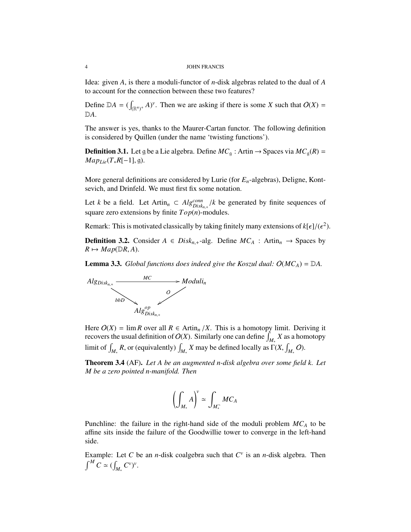#### 4 JOHN FRANCIS

Idea: given *A*, is there a moduli-functor of *n*-disk algebras related to the dual of *A* to account for the connection between these two features?

Define  $\mathbb{D}A = (\int_{(\mathbb{R}^n)^+} A)^{\nu}$ . Then we are asking if there is some *X* such that  $O(X) =$ D*A*.

The answer is yes, thanks to the Maurer-Cartan functor. The following definition is considered by Quillen (under the name 'twisting functions').

**Definition 3.1.** Let g be a Lie algebra. Define  $MC_\text{q}$ : Artin  $\rightarrow$  Spaces via  $MC_\text{q}(R)$  = *MapLie*(*T*∗*R*[−1], <sup>g</sup>).

More general definitions are considered by Lurie (for *En*-algebras), Deligne, Kontsevich, and Drinfeld. We must first fix some notation.

Let *k* be a field. Let Artin<sub>n</sub> ⊂  $Alg_{Disk_{n,+}}^{conn}/k$  be generated by finite sequences of square zero extensions by finite  $T_{\Omega}p(n)$  modules square zero extensions by finite  $Top(n)$ -modules.

Remark: This is motivated classically by taking finitely many extensions of  $k[\epsilon]/(\epsilon^2)$ .

**Definition 3.2.** Consider *A* ∈ *Disk<sub>n,+</sub>-alg.* Define  $MC_A$ : Artin<sub>n</sub> → Spaces by  $R \mapsto Map(\mathbb{D}R, A)$ .

**Lemma 3.3.** *Global functions does indeed give the Koszul dual:*  $O(MC_A) = DA$ .



Here  $O(X) = \lim R$  over all  $R \in \text{Artin}_n / X$ . This is a homotopy limit. Deriving it recovers the usual definition of  $O(X)$ . Similarly one can define  $\int_{M_*} X$  as a homotopy limit of  $\int_{M_*} R$ , or (equivalently)  $\int_{M_*} X$  may be defined locally as  $\Gamma(X, \int_{M_*} O)$ .

Theorem 3.4 (AF). *Let A be an augmented n-disk algebra over some field k. Let M be a zero pointed n-manifold. Then*

$$
\left(\int_{M_*} A\right)^v \simeq \int_{M_*^-} MC_A
$$

Punchline: the failure in the right-hand side of the moduli problem *MC<sup>A</sup>* to be affine sits inside the failure of the Goodwillie tower to converge in the left-hand side.

Example: Let *C* be an *n*-disk coalgebra such that  $C^v$  is an *n*-disk algebra. Then  $\int^M C \simeq (\int_{M_*} C^v)^v.$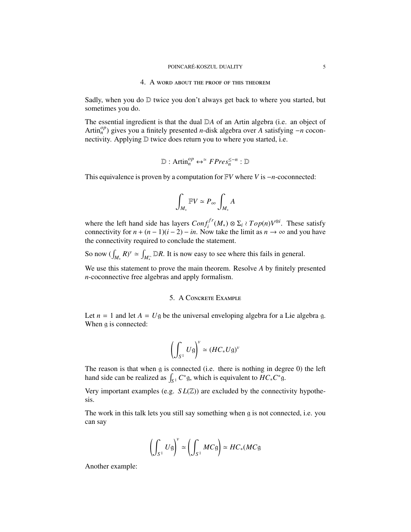#### 4. A word about the proof of this theorem

Sadly, when you do  $D$  twice you don't always get back to where you started, but sometimes you do.

The essential ingredient is that the dual D*A* of an Artin algebra (i.e. an object of Artin*op n* ) gives you a finitely presented *n*-disk algebra over *A* satisfying −*n* coconnectivity. Applying D twice does return you to where you started, i.e.

$$
\mathbb{D}: \text{Artin}_n^{op} \leftrightarrow^{\simeq} FPres_n^{\leq -n} : \mathbb{D}
$$

This equivalence is proven by a computation for F*V* where *V* is −*n*-coconnected:

$$
\int_{M_*} \mathbb{F} V \simeq P_\infty \int_{M_*} A
$$

where the left hand side has layers  $Conf_i^{fr}(M_*) \otimes \Sigma_i \wr Top(n)V^{\otimes i}$ . These satisfy connectivity for  $n + (n - 1)(i - 2) - in$ . Now take the limit as  $n \to \infty$  and you have the connectivity required to conclude the statement.

So now  $(\int_{M_*} R)^v \simeq \int_{M_*^-} \mathbb{D}R$ . It is now easy to see where this fails in general.

We use this statement to prove the main theorem. Resolve *A* by finitely presented *n*-coconnective free algebras and apply formalism.

## 5. A Concrete Example

Let  $n = 1$  and let  $A = Ug$  be the universal enveloping algebra for a Lie algebra g. When g is connected:

$$
\left(\int_{S^1} U\mathfrak{g}\right)^v \simeq \left(HC_*U\mathfrak{g}\right)^v
$$

The reason is that when g is connected (i.e. there is nothing in degree 0) the left hand side can be realized as  $\int_{S^1} C^* g$ , which is equivalent to  $HC_*C^* g$ .

Very important examples (e.g.  $SL(\mathbb{Z})$ ) are excluded by the connectivity hypothesis.

The work in this talk lets you still say something when g is not connected, i.e. you can say

$$
\left(\int_{S^1} U\mathfrak{g}\right)^{\nu} \simeq \left(\int_{S^1} MC\mathfrak{g}\right) \simeq HC_*(MC\mathfrak{g})
$$

Another example: